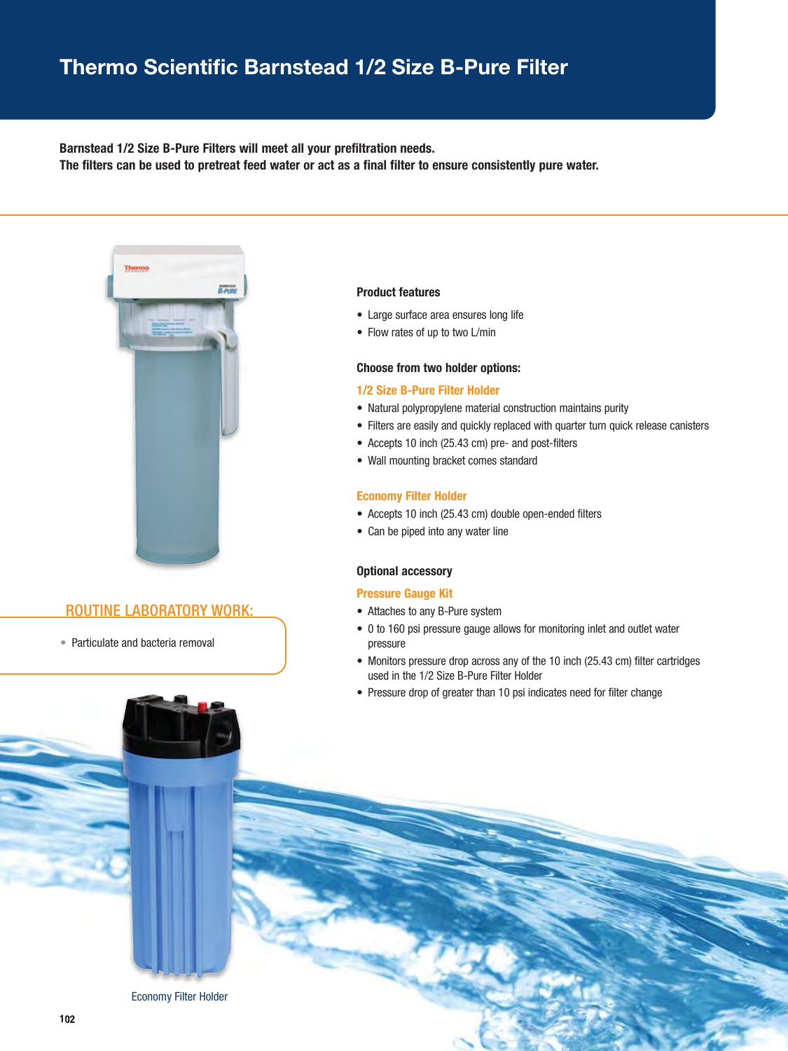### **Thermo Scientific Barnstead 1/2 Size B-Pure Filter**

#### **Barnstead 1/2 Size B-Pure Filters will meet all your prefiltration needs.**

**The filters can be used to pretreat feed water or act as a final filter to ensure consistently pure water.**



#### ROUTINE LABORATORY WORK:

• Particulate and bacteria removal

#### **Product features**

- Large surface area ensures long life
- Flow rates of up to two L/min

#### **Choose from two holder options:**

#### **1/2 Size B-Pure Filter Holder**

- Natural polypropylene material construction maintains purity
- Filters are easily and quickly replaced with quarter turn quick release canisters
- Accepts 10 inch (25.43 cm) pre- and post-filters
- Wall mounting bracket comes standard

#### **Economy Filter Holder**

- Accepts 10 inch (25.43 cm) double open-ended filters
- Can be piped into any water line

#### **Optional accessory**

#### **Pressure Gauge Kit**

- Attaches to any B-Pure system
- 0 to 160 psi pressure gauge allows for monitoring inlet and outlet water pressure
- Monitors pressure drop across any of the 10 inch (25.43 cm) filter cartridges used in the 1/2 Size B-Pure Filter Holder
- Pressure drop of greater than 10 psi indicates need for filter change

Economy Filter Holder